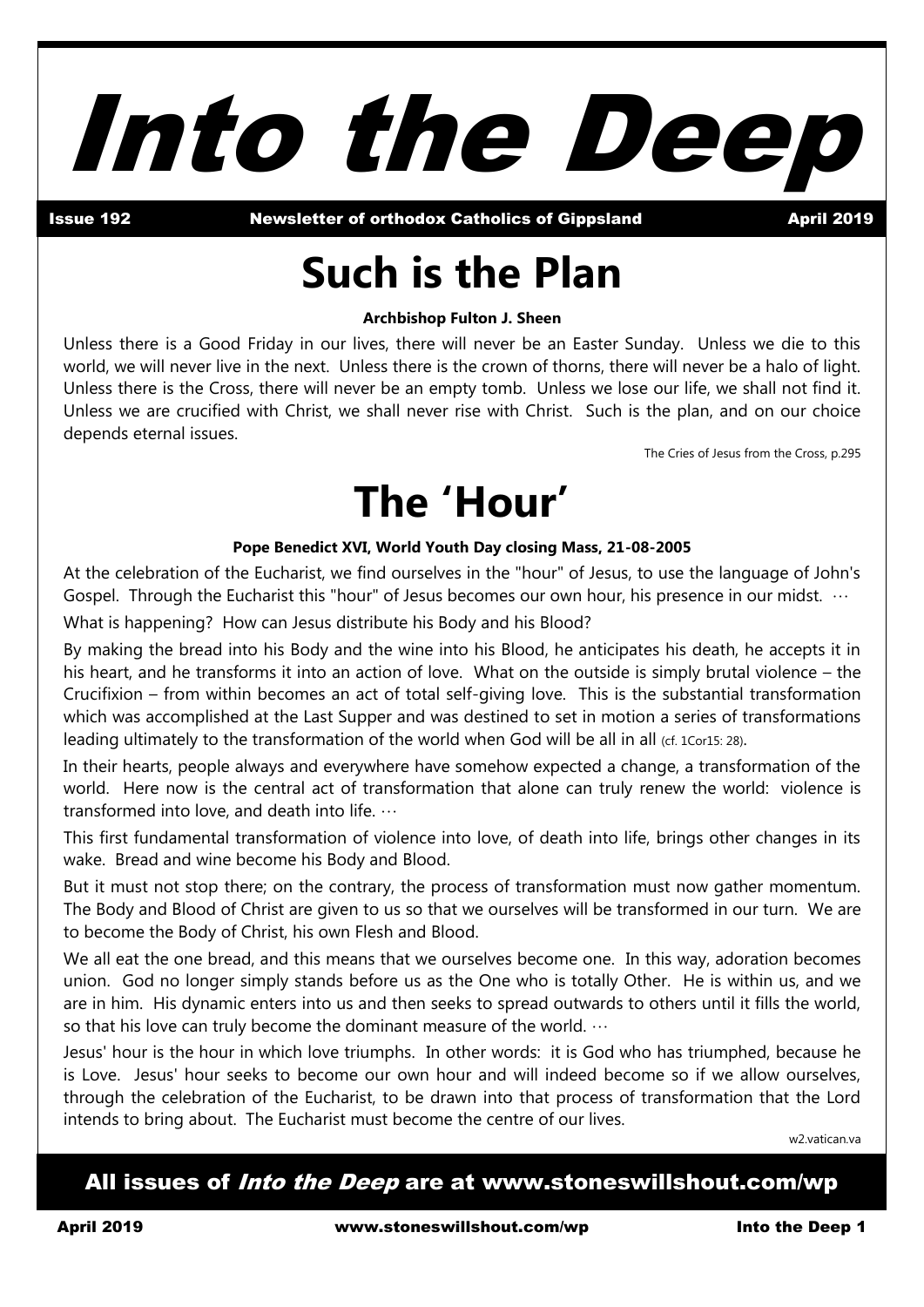# Into the Deep

**Issue 192** Newsletter of orthodox Catholics of Gippsland April 2019

# **Such is the Plan**

#### **Archbishop Fulton J. Sheen**

Unless there is a Good Friday in our lives, there will never be an Easter Sunday. Unless we die to this world, we will never live in the next. Unless there is the crown of thorns, there will never be a halo of light. Unless there is the Cross, there will never be an empty tomb. Unless we lose our life, we shall not find it. Unless we are crucified with Christ, we shall never rise with Christ. Such is the plan, and on our choice depends eternal issues.

The Cries of Jesus from the Cross, p.295

# **The 'Hour'**

#### **Pope Benedict XVI, World Youth Day closing Mass, 21-08-2005**

At the celebration of the Eucharist, we find ourselves in the "hour" of Jesus, to use the language of John's Gospel. Through the Eucharist this "hour" of Jesus becomes our own hour, his presence in our midst. …

What is happening? How can Jesus distribute his Body and his Blood?

By making the bread into his Body and the wine into his Blood, he anticipates his death, he accepts it in his heart, and he transforms it into an action of love. What on the outside is simply brutal violence – the Crucifixion – from within becomes an act of total self-giving love. This is the substantial transformation which was accomplished at the Last Supper and was destined to set in motion a series of transformations leading ultimately to the transformation of the world when God will be all in all (cf. 1Cor15: 28).

In their hearts, people always and everywhere have somehow expected a change, a transformation of the world. Here now is the central act of transformation that alone can truly renew the world: violence is transformed into love, and death into life. …

This first fundamental transformation of violence into love, of death into life, brings other changes in its wake. Bread and wine become his Body and Blood.

But it must not stop there; on the contrary, the process of transformation must now gather momentum. The Body and Blood of Christ are given to us so that we ourselves will be transformed in our turn. We are to become the Body of Christ, his own Flesh and Blood.

We all eat the one bread, and this means that we ourselves become one. In this way, adoration becomes union. God no longer simply stands before us as the One who is totally Other. He is within us, and we are in him. His dynamic enters into us and then seeks to spread outwards to others until it fills the world, so that his love can truly become the dominant measure of the world. …

Jesus' hour is the hour in which love triumphs. In other words: it is God who has triumphed, because he is Love. Jesus' hour seeks to become our own hour and will indeed become so if we allow ourselves, through the celebration of the Eucharist, to be drawn into that process of transformation that the Lord intends to bring about. The Eucharist must become the centre of our lives.

w2.vatican.va

### All issues of *Into the Deep* are at www.stoneswillshout.com/wp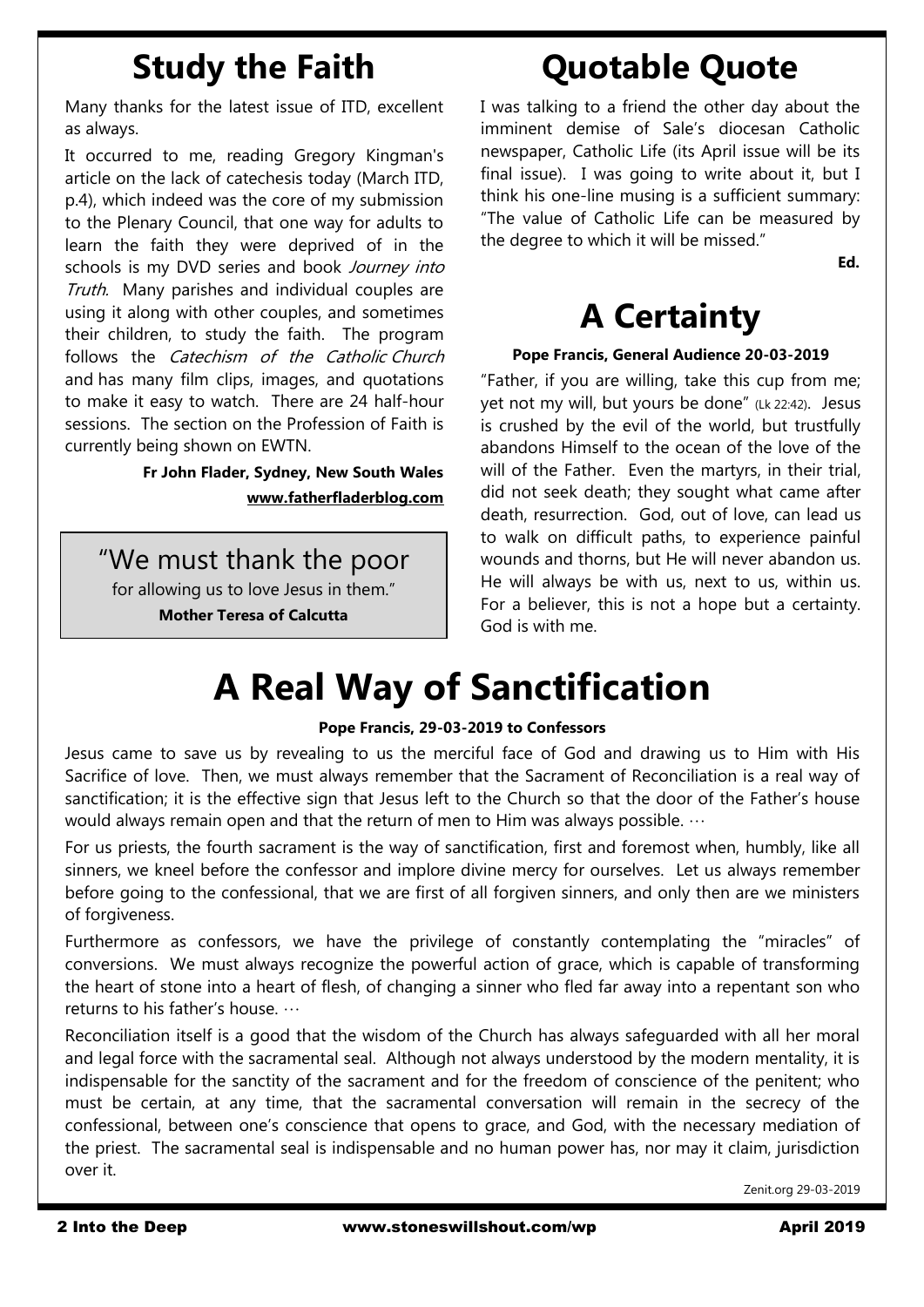### **Study the Faith**

Many thanks for the latest issue of ITD, excellent as always.

It occurred to me, reading Gregory Kingman's article on the lack of catechesis today (March ITD, p.4), which indeed was the core of my submission to the Plenary Council, that one way for adults to learn the faith they were deprived of in the schools is my DVD series and book Journey into Truth. Many parishes and individual couples are using it along with other couples, and sometimes their children, to study the faith. The program follows the *Catechism of the Catholic Church* and has many film clips, images, and quotations to make it easy to watch. There are 24 half-hour sessions. The section on the Profession of Faith is currently being shown on EWTN.

### **Fr John Flader, Sydney, New South Wales [www.fatherfladerblog.com](http://www.fatherfladerblog.com/)**

"We must thank the poor for allowing us to love Jesus in them." **Mother Teresa of Calcutta**

# **Quotable Quote**

I was talking to a friend the other day about the imminent demise of Sale's diocesan Catholic newspaper, Catholic Life (its April issue will be its final issue). I was going to write about it, but I think his one-line musing is a sufficient summary: "The value of Catholic Life can be measured by the degree to which it will be missed."

**Ed.**

# **A Certainty**

### **Pope Francis, General Audience 20-03-2019**

"Father, if you are willing, take this cup from me; yet not my will, but yours be done" (Lk 22:42). Jesus is crushed by the evil of the world, but trustfully abandons Himself to the ocean of the love of the will of the Father. Even the martyrs, in their trial, did not seek death; they sought what came after death, resurrection. God, out of love, can lead us to walk on difficult paths, to experience painful wounds and thorns, but He will never abandon us. He will always be with us, next to us, within us. For a believer, this is not a hope but a certainty. God is with me.

# **A Real Way of Sanctification**

### **Pope Francis, 29-03-2019 to Confessors**

Jesus came to save us by revealing to us the merciful face of God and drawing us to Him with His Sacrifice of love. Then, we must always remember that the Sacrament of Reconciliation is a real way of sanctification; it is the effective sign that Jesus left to the Church so that the door of the Father's house would always remain open and that the return of men to Him was always possible. …

For us priests, the fourth sacrament is the way of sanctification, first and foremost when, humbly, like all sinners, we kneel before the confessor and implore divine mercy for ourselves. Let us always remember before going to the confessional, that we are first of all forgiven sinners, and only then are we ministers of forgiveness.

Furthermore as confessors, we have the privilege of constantly contemplating the "miracles" of conversions. We must always recognize the powerful action of grace, which is capable of transforming the heart of stone into a heart of flesh, of changing a sinner who fled far away into a repentant son who returns to his father's house. …

Reconciliation itself is a good that the wisdom of the Church has always safeguarded with all her moral and legal force with the sacramental seal. Although not always understood by the modern mentality, it is indispensable for the sanctity of the sacrament and for the freedom of conscience of the penitent; who must be certain, at any time, that the sacramental conversation will remain in the secrecy of the confessional, between one's conscience that opens to grace, and God, with the necessary mediation of the priest. The sacramental seal is indispensable and no human power has, nor may it claim, jurisdiction over it.

Zenit.org 29-03-2019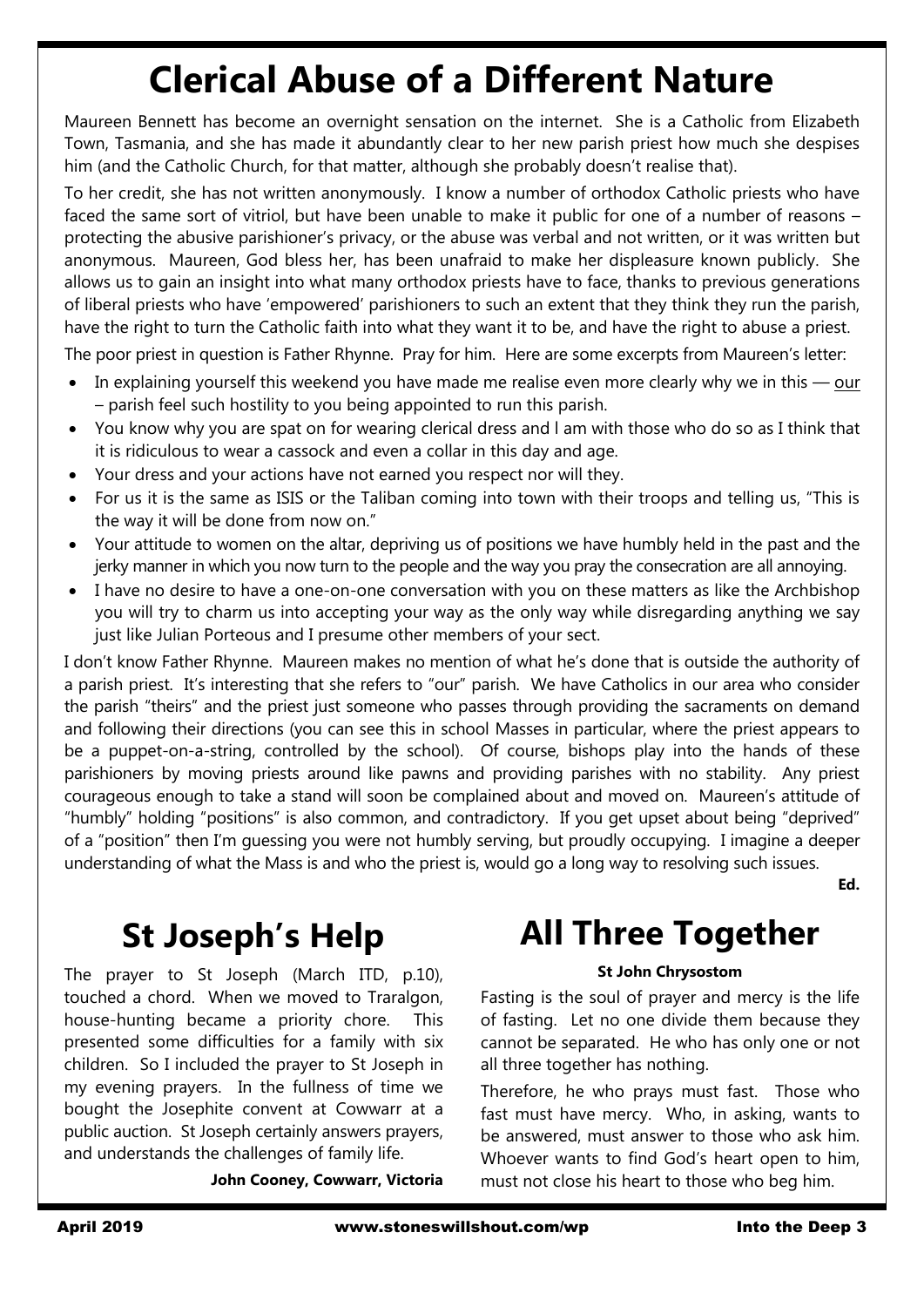# **Clerical Abuse of a Different Nature**

Maureen Bennett has become an overnight sensation on the internet. She is a Catholic from Elizabeth Town, Tasmania, and she has made it abundantly clear to her new parish priest how much she despises him (and the Catholic Church, for that matter, although she probably doesn't realise that).

To her credit, she has not written anonymously. I know a number of orthodox Catholic priests who have faced the same sort of vitriol, but have been unable to make it public for one of a number of reasons – protecting the abusive parishioner's privacy, or the abuse was verbal and not written, or it was written but anonymous. Maureen, God bless her, has been unafraid to make her displeasure known publicly. She allows us to gain an insight into what many orthodox priests have to face, thanks to previous generations of liberal priests who have 'empowered' parishioners to such an extent that they think they run the parish, have the right to turn the Catholic faith into what they want it to be, and have the right to abuse a priest.

The poor priest in question is Father Rhynne. Pray for him. Here are some excerpts from Maureen's letter:

- In explaining yourself this weekend you have made me realise even more clearly why we in this our – parish feel such hostility to you being appointed to run this parish.
- You know why you are spat on for wearing clerical dress and l am with those who do so as I think that it is ridiculous to wear a cassock and even a collar in this day and age.
- Your dress and your actions have not earned you respect nor will they.
- For us it is the same as ISIS or the Taliban coming into town with their troops and telling us, "This is the way it will be done from now on."
- Your attitude to women on the altar, depriving us of positions we have humbly held in the past and the jerky manner in which you now turn to the people and the way you pray the consecration are all annoying.
- I have no desire to have a one-on-one conversation with you on these matters as like the Archbishop you will try to charm us into accepting your way as the only way while disregarding anything we say just like Julian Porteous and I presume other members of your sect.

I don't know Father Rhynne. Maureen makes no mention of what he's done that is outside the authority of a parish priest. It's interesting that she refers to "our" parish. We have Catholics in our area who consider the parish "theirs" and the priest just someone who passes through providing the sacraments on demand and following their directions (you can see this in school Masses in particular, where the priest appears to be a puppet-on-a-string, controlled by the school). Of course, bishops play into the hands of these parishioners by moving priests around like pawns and providing parishes with no stability. Any priest courageous enough to take a stand will soon be complained about and moved on. Maureen's attitude of "humbly" holding "positions" is also common, and contradictory. If you get upset about being "deprived" of a "position" then I'm guessing you were not humbly serving, but proudly occupying. I imagine a deeper understanding of what the Mass is and who the priest is, would go a long way to resolving such issues.

**Ed.**

# **St Joseph's Help**

The prayer to St Joseph (March ITD, p.10), touched a chord. When we moved to Traralgon, house-hunting became a priority chore. This presented some difficulties for a family with six children. So I included the prayer to St Joseph in my evening prayers. In the fullness of time we bought the Josephite convent at Cowwarr at a public auction. St Joseph certainly answers prayers, and understands the challenges of family life.

**John Cooney, Cowwarr, Victoria**

### **All Three Together**

### **St John Chrysostom**

Fasting is the soul of prayer and mercy is the life of fasting. Let no one divide them because they cannot be separated. He who has only one or not all three together has nothing.

Therefore, he who prays must fast. Those who fast must have mercy. Who, in asking, wants to be answered, must answer to those who ask him. Whoever wants to find God's heart open to him, must not close his heart to those who beg him.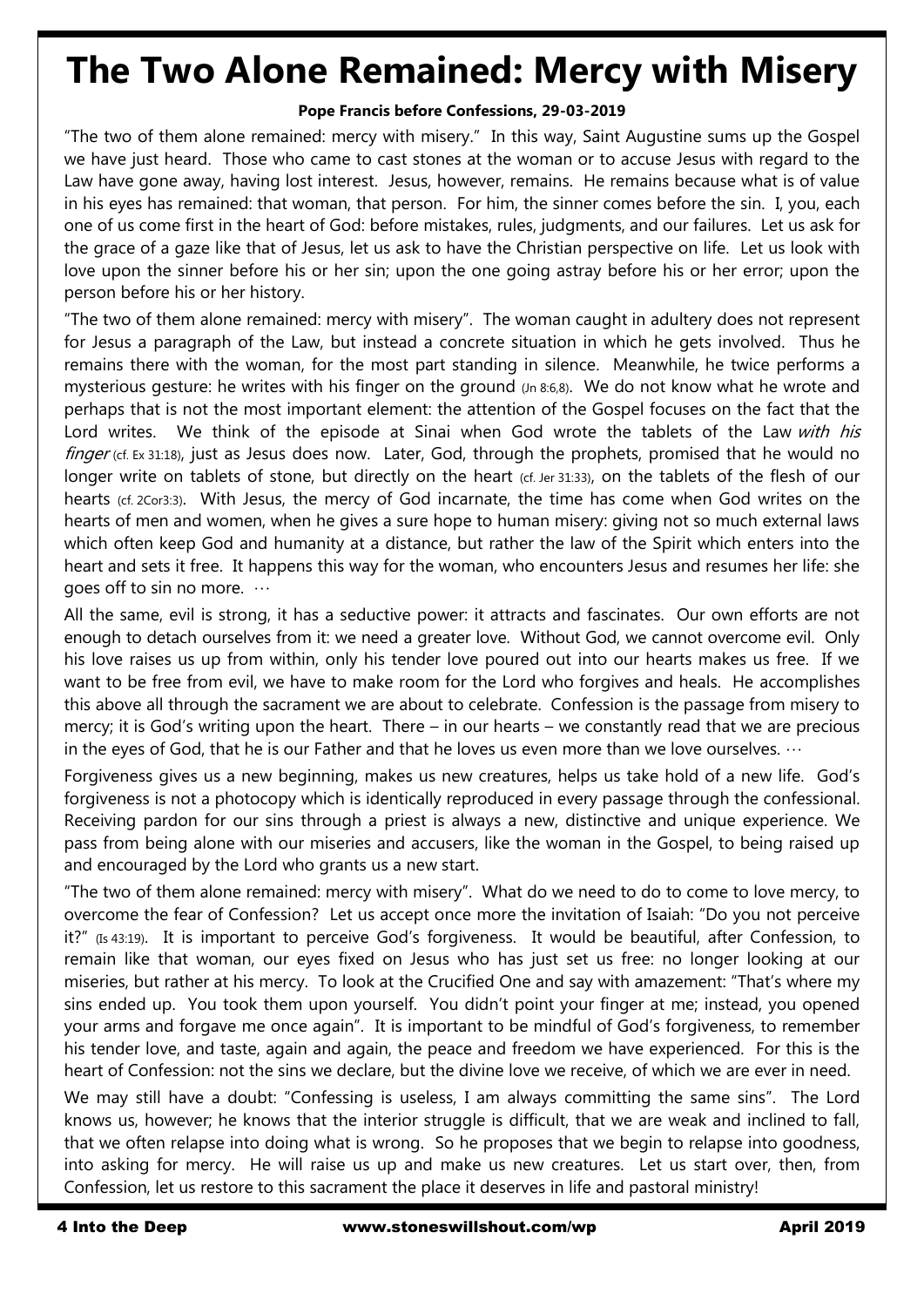# **The Two Alone Remained: Mercy with Misery**

#### **Pope Francis before Confessions, 29-03-2019**

"The two of them alone remained: mercy with misery." In this way, Saint Augustine sums up the Gospel we have just heard. Those who came to cast stones at the woman or to accuse Jesus with regard to the Law have gone away, having lost interest. Jesus, however, remains. He remains because what is of value in his eyes has remained: that woman, that person. For him, the sinner comes before the sin. I, you, each one of us come first in the heart of God: before mistakes, rules, judgments, and our failures. Let us ask for the grace of a gaze like that of Jesus, let us ask to have the Christian perspective on life. Let us look with love upon the sinner before his or her sin; upon the one going astray before his or her error; upon the person before his or her history.

"The two of them alone remained: mercy with misery". The woman caught in adultery does not represent for Jesus a paragraph of the Law, but instead a concrete situation in which he gets involved. Thus he remains there with the woman, for the most part standing in silence. Meanwhile, he twice performs a mysterious gesture: he writes with his finger on the ground  $(n 8:6,8)$ . We do not know what he wrote and perhaps that is not the most important element: the attention of the Gospel focuses on the fact that the Lord writes. We think of the episode at Sinai when God wrote the tablets of the Law with his finger (cf. Ex 31:18), just as Jesus does now. Later, God, through the prophets, promised that he would no longer write on tablets of stone, but directly on the heart (cf. Jer 31:33), on the tablets of the flesh of our hearts (cf. 2Cor3:3). With Jesus, the mercy of God incarnate, the time has come when God writes on the hearts of men and women, when he gives a sure hope to human misery: giving not so much external laws which often keep God and humanity at a distance, but rather the law of the Spirit which enters into the heart and sets it free. It happens this way for the woman, who encounters Jesus and resumes her life: she goes off to sin no more. …

All the same, evil is strong, it has a seductive power: it attracts and fascinates. Our own efforts are not enough to detach ourselves from it: we need a greater love. Without God, we cannot overcome evil. Only his love raises us up from within, only his tender love poured out into our hearts makes us free. If we want to be free from evil, we have to make room for the Lord who forgives and heals. He accomplishes this above all through the sacrament we are about to celebrate. Confession is the passage from misery to mercy; it is God's writing upon the heart. There – in our hearts – we constantly read that we are precious in the eyes of God, that he is our Father and that he loves us even more than we love ourselves. …

Forgiveness gives us a new beginning, makes us new creatures, helps us take hold of a new life. God's forgiveness is not a photocopy which is identically reproduced in every passage through the confessional. Receiving pardon for our sins through a priest is always a new, distinctive and unique experience. We pass from being alone with our miseries and accusers, like the woman in the Gospel, to being raised up and encouraged by the Lord who grants us a new start.

"The two of them alone remained: mercy with misery". What do we need to do to come to love mercy, to overcome the fear of Confession? Let us accept once more the invitation of Isaiah: "Do you not perceive it?" (Is 43:19). It is important to perceive God's forgiveness. It would be beautiful, after Confession, to remain like that woman, our eyes fixed on Jesus who has just set us free: no longer looking at our miseries, but rather at his mercy. To look at the Crucified One and say with amazement: "That's where my sins ended up. You took them upon yourself. You didn't point your finger at me; instead, you opened your arms and forgave me once again". It is important to be mindful of God's forgiveness, to remember his tender love, and taste, again and again, the peace and freedom we have experienced. For this is the heart of Confession: not the sins we declare, but the divine love we receive, of which we are ever in need.

We may still have a doubt: "Confessing is useless, I am always committing the same sins". The Lord knows us, however; he knows that the interior struggle is difficult, that we are weak and inclined to fall, that we often relapse into doing what is wrong. So he proposes that we begin to relapse into goodness, into asking for mercy. He will raise us up and make us new creatures. Let us start over, then, from Confession, let us restore to this sacrament the place it deserves in life and pastoral ministry!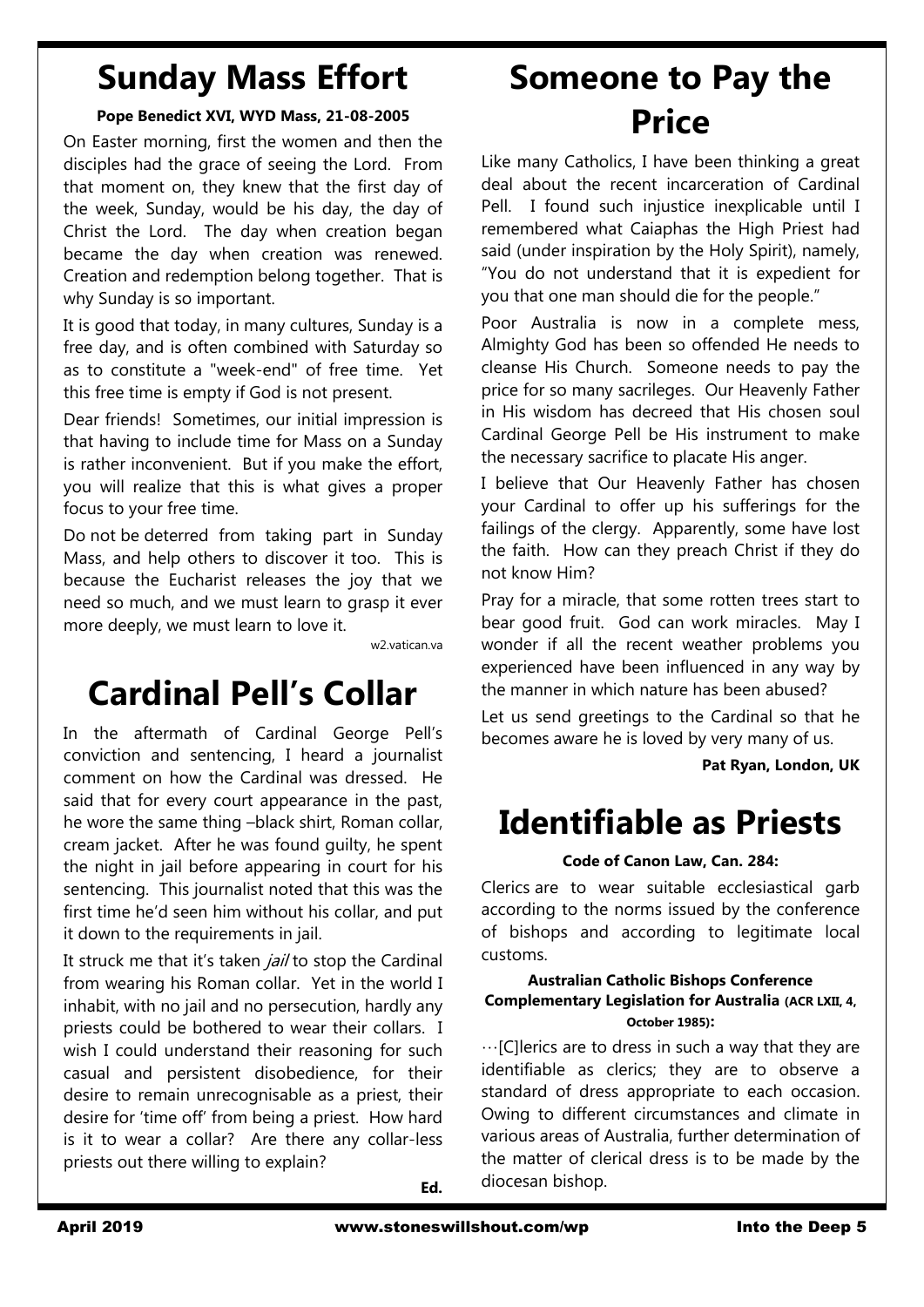### **Sunday Mass Effort**

### **Pope Benedict XVI, WYD Mass, 21-08-2005**

On Easter morning, first the women and then the disciples had the grace of seeing the Lord. From that moment on, they knew that the first day of the week, Sunday, would be his day, the day of Christ the Lord. The day when creation began became the day when creation was renewed. Creation and redemption belong together. That is why Sunday is so important.

It is good that today, in many cultures, Sunday is a free day, and is often combined with Saturday so as to constitute a "week-end" of free time. Yet this free time is empty if God is not present.

Dear friends! Sometimes, our initial impression is that having to include time for Mass on a Sunday is rather inconvenient. But if you make the effort, you will realize that this is what gives a proper focus to your free time.

Do not be deterred from taking part in Sunday Mass, and help others to discover it too. This is because the Eucharist releases the joy that we need so much, and we must learn to grasp it ever more deeply, we must learn to love it.

w2.vatican.va

# **Cardinal Pell's Collar**

In the aftermath of Cardinal George Pell's conviction and sentencing, I heard a journalist comment on how the Cardinal was dressed. He said that for every court appearance in the past, he wore the same thing –black shirt, Roman collar, cream jacket. After he was found guilty, he spent the night in jail before appearing in court for his sentencing. This journalist noted that this was the first time he'd seen him without his collar, and put it down to the requirements in jail.

It struck me that it's taken *jail* to stop the Cardinal from wearing his Roman collar. Yet in the world I inhabit, with no jail and no persecution, hardly any priests could be bothered to wear their collars. I wish I could understand their reasoning for such casual and persistent disobedience, for their desire to remain unrecognisable as a priest, their desire for 'time off' from being a priest. How hard is it to wear a collar? Are there any collar-less priests out there willing to explain?

# **Someone to Pay the Price**

Like many Catholics, I have been thinking a great deal about the recent incarceration of Cardinal Pell. I found such injustice inexplicable until I remembered what Caiaphas the High Priest had said (under inspiration by the Holy Spirit), namely, "You do not understand that it is expedient for you that one man should die for the people."

Poor Australia is now in a complete mess, Almighty God has been so offended He needs to cleanse His Church. Someone needs to pay the price for so many sacrileges. Our Heavenly Father in His wisdom has decreed that His chosen soul Cardinal George Pell be His instrument to make the necessary sacrifice to placate His anger.

I believe that Our Heavenly Father has chosen your Cardinal to offer up his sufferings for the failings of the clergy. Apparently, some have lost the faith. How can they preach Christ if they do not know Him?

Pray for a miracle, that some rotten trees start to bear good fruit. God can work miracles. May I wonder if all the recent weather problems you experienced have been influenced in any way by the manner in which nature has been abused?

Let us send greetings to the Cardinal so that he becomes aware he is loved by very many of us.

**Pat Ryan, London, UK**

# **Identifiable as Priests**

### **Code of Canon Law, Can. [284:](http://www.vatican.va/archive/ENG1104/1/W9.HTM)**

[Clerics](http://www.vatican.va/archive/ENG1104/5I.HTM) are to wear suitable ecclesiastical garb according to the norms issued by the conference of bishops and according to legitimate local customs.

#### **Australian Catholic Bishops Conference Complementary Legislation for Australia (ACR LXII, 4, October 1985):**

 $\cdots$ [C]lerics are to dress in such a way that they are identifiable as clerics; they are to observe a standard of dress appropriate to each occasion. Owing to different circumstances and climate in various areas of Australia, further determination of the matter of clerical dress is to be made by the diocesan bishop.

**Ed.**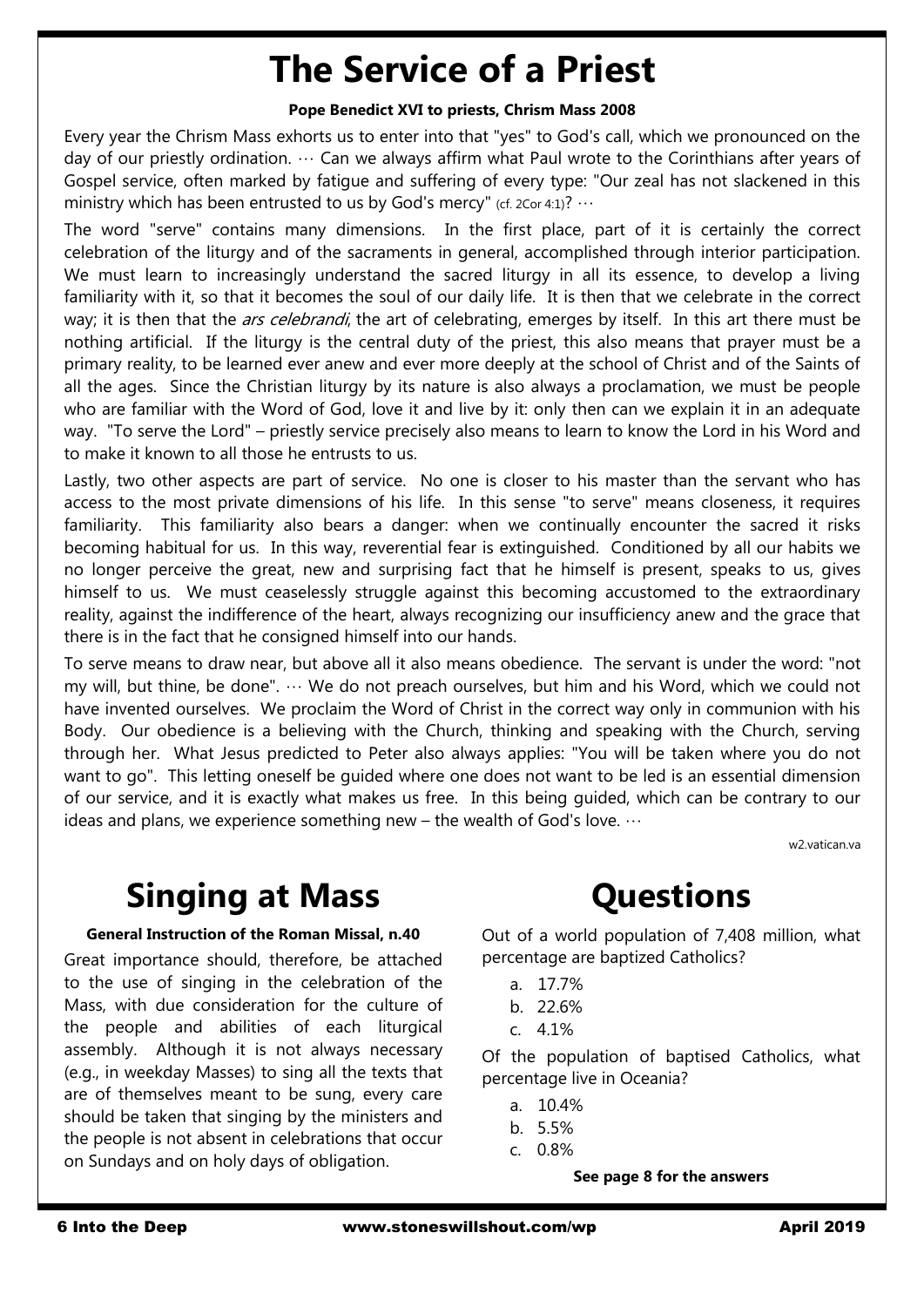# **The Service of a Priest**

#### **Pope Benedict XVI to priests, Chrism Mass 2008**

Every year the Chrism Mass exhorts us to enter into that "yes" to God's call, which we pronounced on the day of our priestly ordination. … Can we always affirm what Paul wrote to the Corinthians after years of Gospel service, often marked by fatigue and suffering of every type: "Our zeal has not slackened in this ministry which has been entrusted to us by God's mercy" (cf. 2Cor 4:1)? …

The word "serve" contains many dimensions. In the first place, part of it is certainly the correct celebration of the liturgy and of the sacraments in general, accomplished through interior participation. We must learn to increasingly understand the sacred liturgy in all its essence, to develop a living familiarity with it, so that it becomes the soul of our daily life. It is then that we celebrate in the correct way; it is then that the *ars celebrandi*, the art of celebrating, emerges by itself. In this art there must be nothing artificial. If the liturgy is the central duty of the priest, this also means that prayer must be a primary reality, to be learned ever anew and ever more deeply at the school of Christ and of the Saints of all the ages. Since the Christian liturgy by its nature is also always a proclamation, we must be people who are familiar with the Word of God, love it and live by it: only then can we explain it in an adequate way. "To serve the Lord" – priestly service precisely also means to learn to know the Lord in his Word and to make it known to all those he entrusts to us.

Lastly, two other aspects are part of service. No one is closer to his master than the servant who has access to the most private dimensions of his life. In this sense "to serve" means closeness, it requires familiarity. This familiarity also bears a danger: when we continually encounter the sacred it risks becoming habitual for us. In this way, reverential fear is extinguished. Conditioned by all our habits we no longer perceive the great, new and surprising fact that he himself is present, speaks to us, gives himself to us. We must ceaselessly struggle against this becoming accustomed to the extraordinary reality, against the indifference of the heart, always recognizing our insufficiency anew and the grace that there is in the fact that he consigned himself into our hands.

To serve means to draw near, but above all it also means obedience. The servant is under the word: "not my will, but thine, be done". … We do not preach ourselves, but him and his Word, which we could not have invented ourselves. We proclaim the Word of Christ in the correct way only in communion with his Body. Our obedience is a believing with the Church, thinking and speaking with the Church, serving through her. What Jesus predicted to Peter also always applies: "You will be taken where you do not want to go". This letting oneself be guided where one does not want to be led is an essential dimension of our service, and it is exactly what makes us free. In this being guided, which can be contrary to our ideas and plans, we experience something new – the wealth of God's love.  $\cdots$ 

w2.vatican.va

### **Singing at Mass**

#### **General Instruction of the Roman Missal, n.40**

Great importance should, therefore, be attached to the use of singing in the celebration of the Mass, with due consideration for the culture of the people and abilities of each liturgical assembly. Although it is not always necessary (e.g., in weekday Masses) to sing all the texts that are of themselves meant to be sung, every care should be taken that singing by the ministers and the people is not absent in celebrations that occur on Sundays and on holy days of obligation.

### **Questions**

Out of a world population of 7,408 million, what percentage are baptized Catholics?

- a. 17.7%
- b. 22.6%
- c. 4.1%

Of the population of baptised Catholics, what percentage live in Oceania?

- a. 10.4%
- b. 5.5%
- c. 0.8%

**See page 8 for the answers**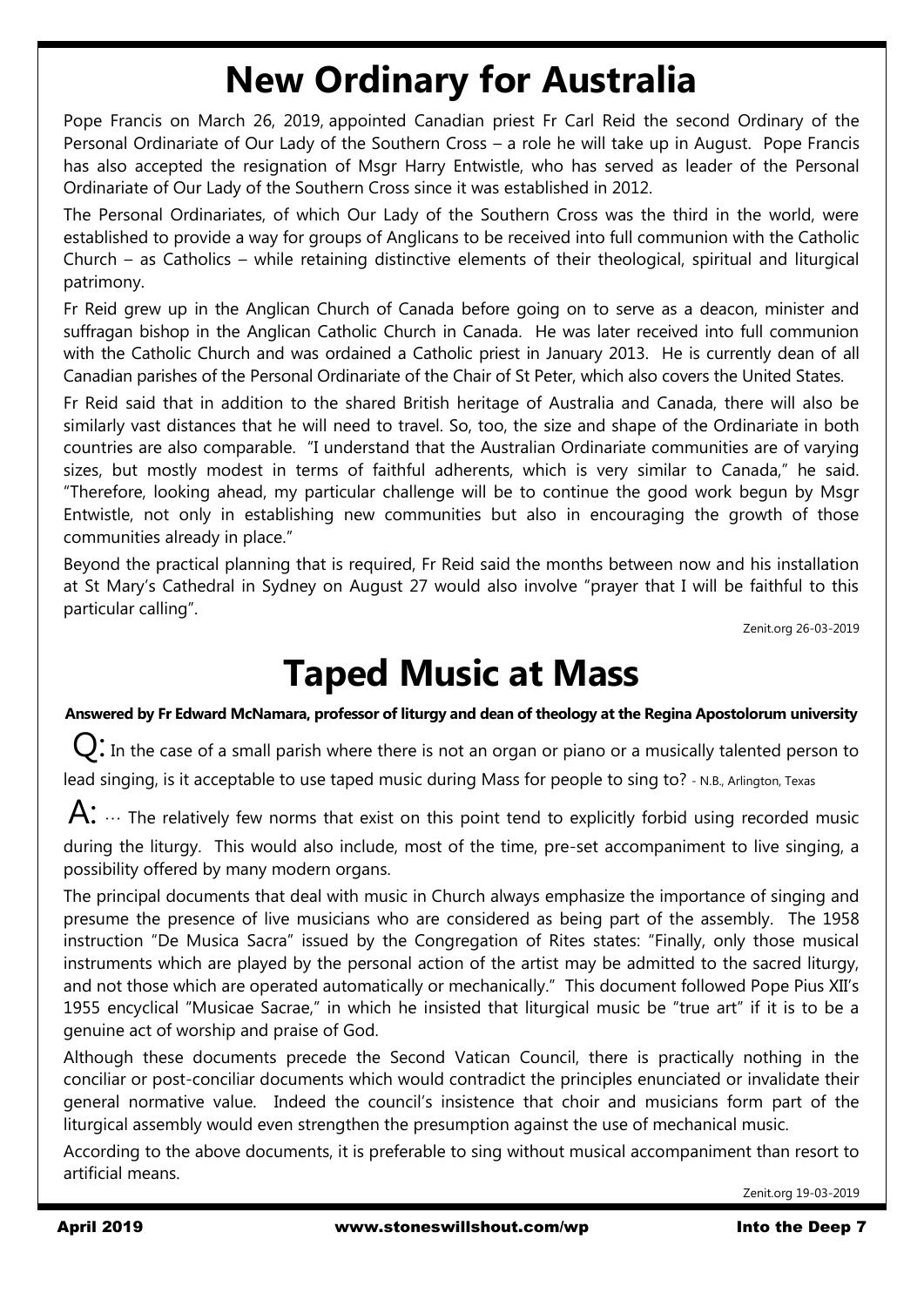# **New Ordinary for Australia**

Pope Francis on March 26, 2019, appointed Canadian priest Fr Carl Reid the second Ordinary of the Personal Ordinariate of Our Lady of the Southern Cross – a role he will take up in August. Pope Francis has also accepted the resignation of Msgr Harry Entwistle, who has served as leader of the Personal Ordinariate of Our Lady of the Southern Cross since it was established in 2012.

The Personal Ordinariates, of which Our Lady of the Southern Cross was the third in the world, were established to provide a way for groups of Anglicans to be received into full communion with the Catholic Church – as Catholics – while retaining distinctive elements of their theological, spiritual and liturgical patrimony.

Fr Reid grew up in the Anglican Church of Canada before going on to serve as a deacon, minister and suffragan bishop in the Anglican Catholic Church in Canada. He was later received into full communion with the Catholic Church and was ordained a Catholic priest in January 2013. He is currently dean of all Canadian parishes of the Personal Ordinariate of the Chair of St Peter, which also covers the United States.

Fr Reid said that in addition to the shared British heritage of Australia and Canada, there will also be similarly vast distances that he will need to travel. So, too, the size and shape of the Ordinariate in both countries are also comparable. "I understand that the Australian Ordinariate communities are of varying sizes, but mostly modest in terms of faithful adherents, which is very similar to Canada," he said. "Therefore, looking ahead, my particular challenge will be to continue the good work begun by Msgr Entwistle, not only in establishing new communities but also in encouraging the growth of those communities already in place."

Beyond the practical planning that is required, Fr Reid said the months between now and his installation at St Mary's Cathedral in Sydney on August 27 would also involve "prayer that I will be faithful to this particular calling".

Zenit.org 26-03-2019

# **Taped Music at Mass**

### **Answered by Fr Edward McNamara, professor of liturgy and dean of theology at the Regina Apostolorum university**

 $Q$ : In the case of a small parish where there is not an organ or piano or a musically talented person to

lead singing, is it acceptable to use taped music during Mass for people to sing to? - N.B., Arlington, Texas

 $\mathsf{A}$ :  $\cdots$  The relatively few norms that exist on this point tend to explicitly forbid using recorded music

during the liturgy. This would also include, most of the time, pre-set accompaniment to live singing, a possibility offered by many modern organs.

The principal documents that deal with music in Church always emphasize the importance of singing and presume the presence of live musicians who are considered as being part of the assembly. The 1958 instruction "De Musica Sacra" issued by the Congregation of Rites states: "Finally, only those musical instruments which are played by the personal action of the artist may be admitted to the sacred liturgy, and not those which are operated automatically or mechanically." This document followed Pope Pius XII's 1955 encyclical "Musicae Sacrae," in which he insisted that liturgical music be "true art" if it is to be a genuine act of worship and praise of God.

Although these documents precede the Second Vatican Council, there is practically nothing in the conciliar or post-conciliar documents which would contradict the principles enunciated or invalidate their general normative value. Indeed the council's insistence that choir and musicians form part of the liturgical assembly would even strengthen the presumption against the use of mechanical music.

According to the above documents, it is preferable to sing without musical accompaniment than resort to artificial means.

Zenit.org 19-03-2019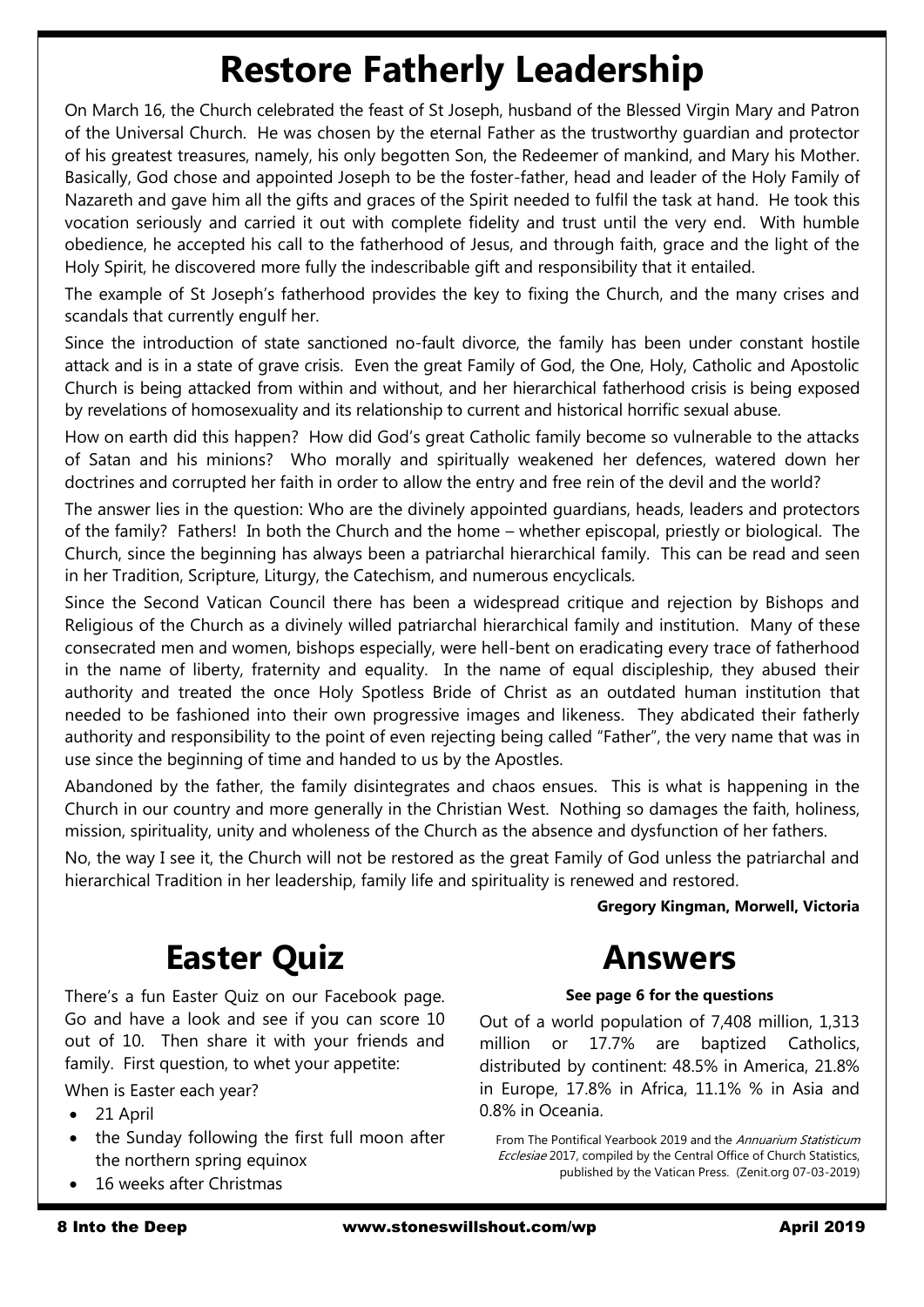# **Restore Fatherly Leadership**

On March 16, the Church celebrated the feast of St Joseph, husband of the Blessed Virgin Mary and Patron of the Universal Church. He was chosen by the eternal Father as the trustworthy guardian and protector of his greatest treasures, namely, his only begotten Son, the Redeemer of mankind, and Mary his Mother. Basically, God chose and appointed Joseph to be the foster-father, head and leader of the Holy Family of Nazareth and gave him all the gifts and graces of the Spirit needed to fulfil the task at hand. He took this vocation seriously and carried it out with complete fidelity and trust until the very end. With humble obedience, he accepted his call to the fatherhood of Jesus, and through faith, grace and the light of the Holy Spirit, he discovered more fully the indescribable gift and responsibility that it entailed.

The example of St Joseph's fatherhood provides the key to fixing the Church, and the many crises and scandals that currently engulf her.

Since the introduction of state sanctioned no-fault divorce, the family has been under constant hostile attack and is in a state of grave crisis. Even the great Family of God, the One, Holy, Catholic and Apostolic Church is being attacked from within and without, and her hierarchical fatherhood crisis is being exposed by revelations of homosexuality and its relationship to current and historical horrific sexual abuse.

How on earth did this happen? How did God's great Catholic family become so vulnerable to the attacks of Satan and his minions? Who morally and spiritually weakened her defences, watered down her doctrines and corrupted her faith in order to allow the entry and free rein of the devil and the world?

The answer lies in the question: Who are the divinely appointed guardians, heads, leaders and protectors of the family? Fathers! In both the Church and the home – whether episcopal, priestly or biological. The Church, since the beginning has always been a patriarchal hierarchical family. This can be read and seen in her Tradition, Scripture, Liturgy, the Catechism, and numerous encyclicals.

Since the Second Vatican Council there has been a widespread critique and rejection by Bishops and Religious of the Church as a divinely willed patriarchal hierarchical family and institution. Many of these consecrated men and women, bishops especially, were hell-bent on eradicating every trace of fatherhood in the name of liberty, fraternity and equality. In the name of equal discipleship, they abused their authority and treated the once Holy Spotless Bride of Christ as an outdated human institution that needed to be fashioned into their own progressive images and likeness. They abdicated their fatherly authority and responsibility to the point of even rejecting being called "Father", the very name that was in use since the beginning of time and handed to us by the Apostles.

Abandoned by the father, the family disintegrates and chaos ensues. This is what is happening in the Church in our country and more generally in the Christian West. Nothing so damages the faith, holiness, mission, spirituality, unity and wholeness of the Church as the absence and dysfunction of her fathers.

No, the way I see it, the Church will not be restored as the great Family of God unless the patriarchal and hierarchical Tradition in her leadership, family life and spirituality is renewed and restored.

**Gregory Kingman, Morwell, Victoria**

### **Easter Quiz**

There's a fun Easter Quiz on our Facebook page. Go and have a look and see if you can score 10 out of 10. Then share it with your friends and family. First question, to whet your appetite:

When is Easter each year?

- 21 April
- the Sunday following the first full moon after the northern spring equinox
- 16 weeks after Christmas

### **Answers**

#### **See page 6 for the questions**

Out of a world population of 7,408 million, 1,313 million or 17.7% are baptized Catholics, distributed by continent: 48.5% in America, 21.8% in Europe, 17.8% in Africa, 11.1% % in Asia and 0.8% in Oceania.

From The Pontifical Yearbook 2019 and the Annuarium Statisticum Ecclesiae 2017, compiled by the Central Office of Church Statistics, published by the Vatican Press. (Zenit.org 07-03-2019)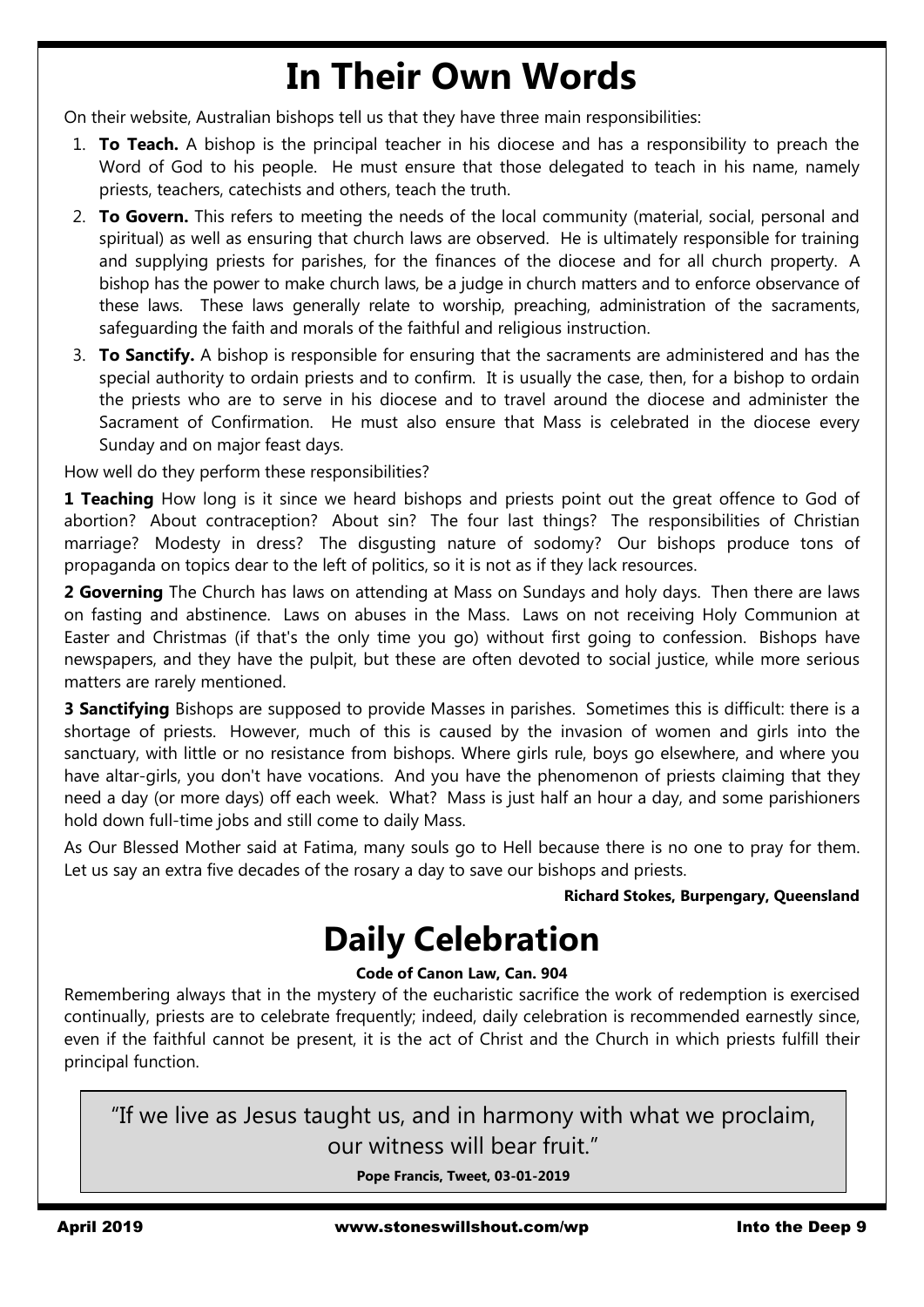# **In Their Own Words**

On their website, Australian bishops tell us that they have three main responsibilities:

- 1. **To Teach.** A bishop is the principal teacher in his diocese and has a responsibility to preach the Word of God to his people. He must ensure that those delegated to teach in his name, namely priests, teachers, catechists and others, teach the truth.
- 2. **To Govern.** This refers to meeting the needs of the local community (material, social, personal and spiritual) as well as ensuring that church laws are observed. He is ultimately responsible for training and supplying priests for parishes, for the finances of the diocese and for all church property. A bishop has the power to make church laws, be a judge in church matters and to enforce observance of these laws. These laws generally relate to worship, preaching, administration of the sacraments, safeguarding the faith and morals of the faithful and religious instruction.
- 3. **To Sanctify.** A bishop is responsible for ensuring that the sacraments are administered and has the special authority to ordain priests and to confirm. It is usually the case, then, for a bishop to ordain the priests who are to serve in his diocese and to travel around the diocese and administer the Sacrament of Confirmation. He must also ensure that Mass is celebrated in the diocese every Sunday and on major feast days.

How well do they perform these responsibilities?

**1 Teaching** How long is it since we heard bishops and priests point out the great offence to God of abortion? About contraception? About sin? The four last things? The responsibilities of Christian marriage? Modesty in dress? The disgusting nature of sodomy? Our bishops produce tons of propaganda on topics dear to the left of politics, so it is not as if they lack resources.

**2 Governing** The Church has laws on attending at Mass on Sundays and holy days. Then there are laws on fasting and abstinence. Laws on abuses in the Mass. Laws on not receiving Holy Communion at Easter and Christmas (if that's the only time you go) without first going to confession. Bishops have newspapers, and they have the pulpit, but these are often devoted to social justice, while more serious matters are rarely mentioned.

**3 Sanctifying** Bishops are supposed to provide Masses in parishes. Sometimes this is difficult: there is a shortage of priests. However, much of this is caused by the invasion of women and girls into the sanctuary, with little or no resistance from bishops. Where girls rule, boys go elsewhere, and where you have altar-girls, you don't have vocations. And you have the phenomenon of priests claiming that they need a day (or more days) off each week. What? Mass is just half an hour a day, and some parishioners hold down full-time jobs and still come to daily Mass.

As Our Blessed Mother said at Fatima, many souls go to Hell because there is no one to pray for them. Let us say an extra five decades of the rosary a day to save our bishops and priests.

### **Richard Stokes, Burpengary, Queensland**

### **Daily Celebration**

### **Code of Canon Law, Can. 904**

[Remembering](http://www.vatican.va/archive/ENG1104/2/HG.HTM) always that in the [mystery](http://www.vatican.va/archive/ENG1104/SW.HTM) of the [eucharistic](http://www.vatican.va/archive/ENG1104/DK.HTM) [sacrifice](http://www.vatican.va/archive/ENG1104/KM.HTM) the [work](http://www.vatican.va/archive/ENG1104/91.HTM) of [redemption](http://www.vatican.va/archive/ENG1104/2/HS.HTM) is [exercised](http://www.vatican.va/archive/ENG1104/M9.HTM) [continually,](http://www.vatican.va/archive/ENG1104/2/T3.HTM) [priests](http://www.vatican.va/archive/ENG1104/8R.HTM) are to [celebrate](http://www.vatican.va/archive/ENG1104/FD.HTM) [frequently;](http://www.vatican.va/archive/ENG1104/PY.HTM) indeed, [daily](http://www.vatican.va/archive/ENG1104/TF.HTM) [celebration](http://www.vatican.va/archive/ENG1104/50.HTM) is [recommended](http://www.vatican.va/archive/ENG1104/O0.HTM) [earnestly](http://www.vatican.va/archive/ENG1104/1/9S.HTM) since, even if the [faithful](http://www.vatican.va/archive/ENG1104/1L.HTM) cannot be [present,](http://www.vatican.va/archive/ENG1104/4E.HTM) it is the [act](http://www.vatican.va/archive/ENG1104/46.HTM) of [Christ](http://www.vatican.va/archive/ENG1104/62.HTM) and the [Church](http://www.vatican.va/archive/ENG1104/S.HTM) in which [priests](http://www.vatican.va/archive/ENG1104/8R.HTM) [fulfill](http://www.vatican.va/archive/ENG1104/AD.HTM) their [principal](http://www.vatican.va/archive/ENG1104/GN.HTM) [function.](http://www.vatican.va/archive/ENG1104/30.HTM)

"If we live as Jesus taught us, and in harmony with what we proclaim, our witness will bear fruit."

**Pope Francis, Tweet, 03-01-2019**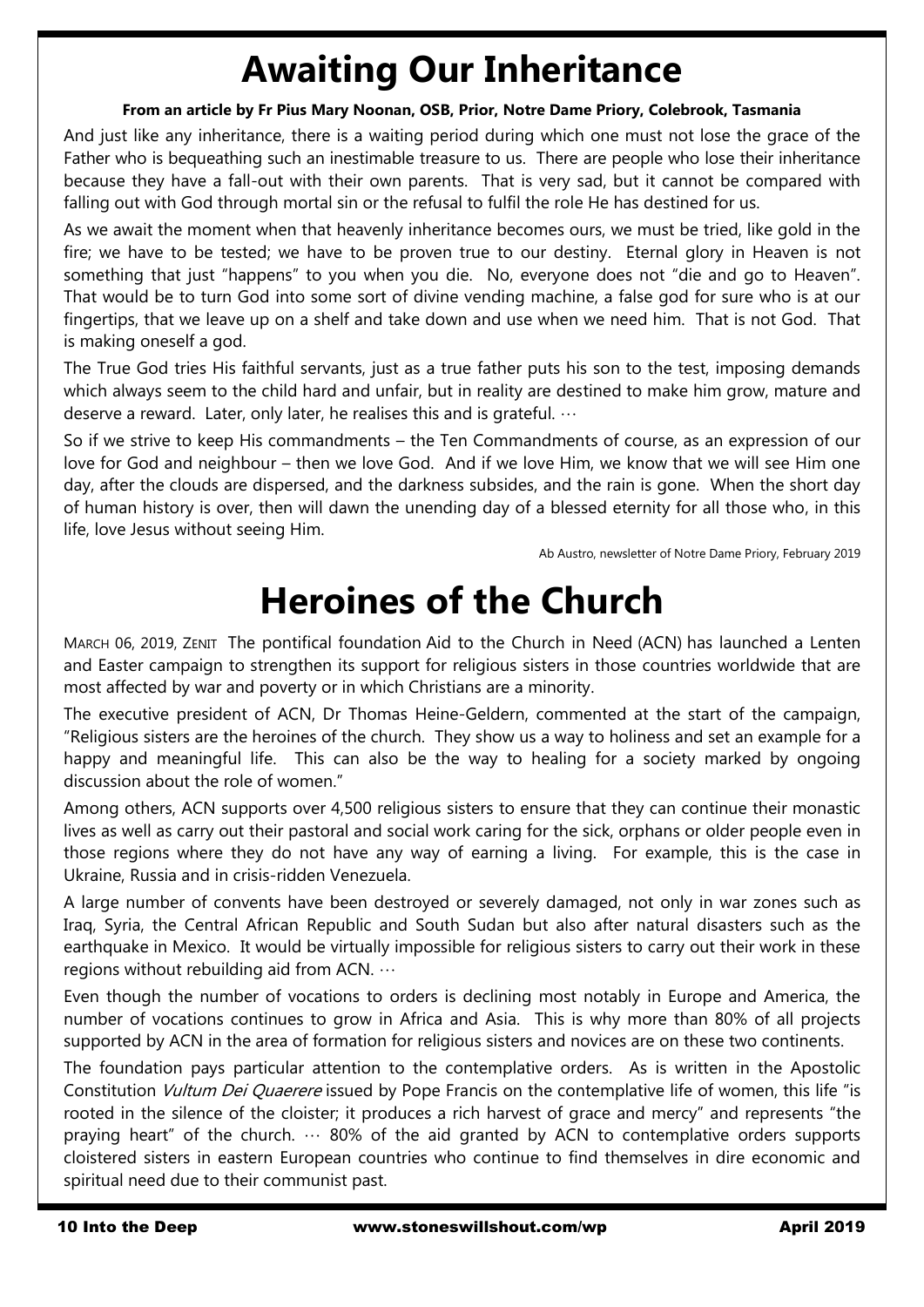# **Awaiting Our Inheritance**

#### **From an article by Fr Pius Mary Noonan, OSB, Prior, Notre Dame Priory, Colebrook, Tasmania**

And just like any inheritance, there is a waiting period during which one must not lose the grace of the Father who is bequeathing such an inestimable treasure to us. There are people who lose their inheritance because they have a fall-out with their own parents. That is very sad, but it cannot be compared with falling out with God through mortal sin or the refusal to fulfil the role He has destined for us.

As we await the moment when that heavenly inheritance becomes ours, we must be tried, like gold in the fire; we have to be tested; we have to be proven true to our destiny. Eternal glory in Heaven is not something that just "happens" to you when you die. No, everyone does not "die and go to Heaven". That would be to turn God into some sort of divine vending machine, a false god for sure who is at our fingertips, that we leave up on a shelf and take down and use when we need him. That is not God. That is making oneself a god.

The True God tries His faithful servants, just as a true father puts his son to the test, imposing demands which always seem to the child hard and unfair, but in reality are destined to make him grow, mature and deserve a reward. Later, only later, he realises this and is grateful. …

So if we strive to keep His commandments – the Ten Commandments of course, as an expression of our love for God and neighbour – then we love God. And if we love Him, we know that we will see Him one day, after the clouds are dispersed, and the darkness subsides, and the rain is gone. When the short day of human history is over, then will dawn the unending day of a blessed eternity for all those who, in this life, love Jesus without seeing Him.

Ab Austro, newsletter of Notre Dame Priory, February 2019

# **Heroines of the Church**

MARCH 06, 2019, ZENIT The pontifical foundation Aid to the Church in Need (ACN) has launched a Lenten and Easter campaign to strengthen its support for religious sisters in those countries worldwide that are most affected by war and poverty or in which Christians are a minority.

The executive president of ACN, Dr Thomas Heine-Geldern, commented at the start of the campaign, "Religious sisters are the heroines of the church. They show us a way to holiness and set an example for a happy and meaningful life. This can also be the way to healing for a society marked by ongoing discussion about the role of women."

Among others, ACN supports over 4,500 religious sisters to ensure that they can continue their monastic lives as well as carry out their pastoral and social work caring for the sick, orphans or older people even in those regions where they do not have any way of earning a living. For example, this is the case in Ukraine, Russia and in crisis-ridden Venezuela.

A large number of convents have been destroyed or severely damaged, not only in war zones such as Iraq, Syria, the Central African Republic and South Sudan but also after natural disasters such as the earthquake in Mexico. It would be virtually impossible for religious sisters to carry out their work in these regions without rebuilding aid from ACN. …

Even though the number of vocations to orders is declining most notably in Europe and America, the number of vocations continues to grow in Africa and Asia. This is why more than 80% of all projects supported by ACN in the area of formation for religious sisters and novices are on these two continents.

The foundation pays particular attention to the contemplative orders. As is written in the Apostolic Constitution *Vultum Dei Quaerere* issued by Pope Francis on the contemplative life of women, this life "is rooted in the silence of the cloister; it produces a rich harvest of grace and mercy" and represents "the praying heart" of the church. … 80% of the aid granted by ACN to contemplative orders supports cloistered sisters in eastern European countries who continue to find themselves in dire economic and spiritual need due to their communist past.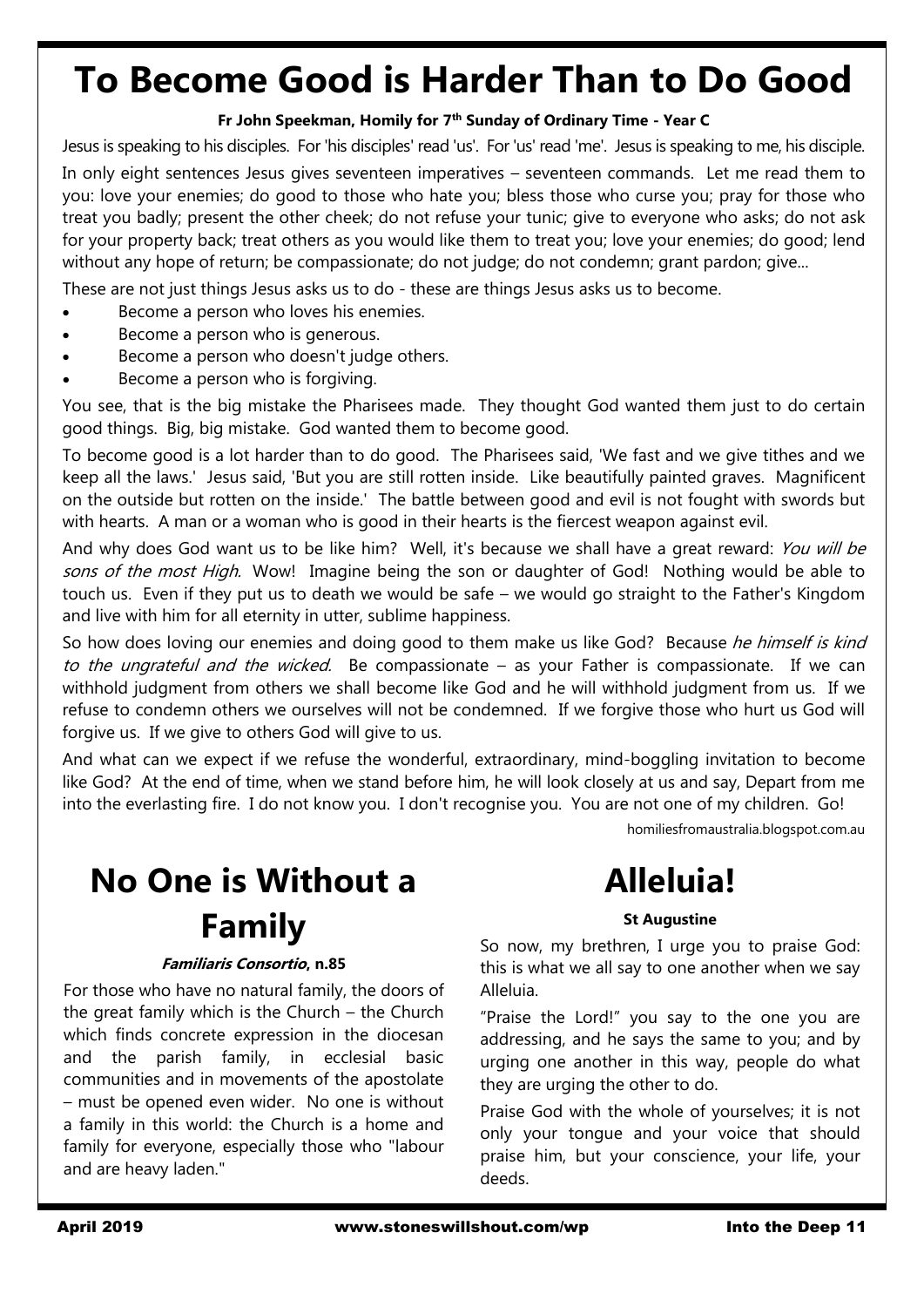# **To Become Good is Harder Than to Do Good**

### **Fr John Speekman, Homily for 7 th Sunday of Ordinary Time - Year C**

Jesus is speaking to his disciples. For 'his disciples' read 'us'. For 'us' read 'me'. Jesus is speaking to me, his disciple. In only eight sentences Jesus gives seventeen imperatives – seventeen commands. Let me read them to you: love your enemies; do good to those who hate you; bless those who curse you; pray for those who treat you badly; present the other cheek; do not refuse your tunic; give to everyone who asks; do not ask for your property back; treat others as you would like them to treat you; love your enemies; do good; lend without any hope of return; be compassionate; do not judge; do not condemn; grant pardon; give...

These are not just things Jesus asks us to do - these are things Jesus asks us to become.

- Become a person who loves his enemies.
- Become a person who is generous.
- Become a person who doesn't judge others.
- Become a person who is forgiving.

You see, that is the big mistake the Pharisees made. They thought God wanted them just to do certain good things. Big, big mistake. God wanted them to become good.

To become good is a lot harder than to do good. The Pharisees said, 'We fast and we give tithes and we keep all the laws.' Jesus said, 'But you are still rotten inside. Like beautifully painted graves. Magnificent on the outside but rotten on the inside.' The battle between good and evil is not fought with swords but with hearts. A man or a woman who is good in their hearts is the fiercest weapon against evil.

And why does God want us to be like him? Well, it's because we shall have a great reward: You will be sons of the most High. Wow! Imagine being the son or daughter of God! Nothing would be able to touch us. Even if they put us to death we would be safe – we would go straight to the Father's Kingdom and live with him for all eternity in utter, sublime happiness.

So how does loving our enemies and doing good to them make us like God? Because he himself is kind to the ungrateful and the wicked. Be compassionate – as your Father is compassionate. If we can withhold judgment from others we shall become like God and he will withhold judgment from us. If we refuse to condemn others we ourselves will not be condemned. If we forgive those who hurt us God will forgive us. If we give to others God will give to us.

And what can we expect if we refuse the wonderful, extraordinary, mind-boggling invitation to become like God? At the end of time, when we stand before him, he will look closely at us and say, Depart from me into the everlasting fire. I do not know you. I don't recognise you. You are not one of my children. Go!

homiliesfromaustralia.blogspot.com.au

# **No One is Without a Family**

### **Familiaris Consortio, n.85**

For those who have no natural family, the doors of the great family which is the Church – the Church which finds concrete expression in the diocesan and the parish family, in ecclesial basic communities and in movements of the apostolate – must be opened even wider. No one is without a family in this world: the Church is a home and family for everyone, especially those who "labour and are heavy laden."

# **Alleluia!**

### **St Augustine**

So now, my brethren, I urge you to praise God: this is what we all say to one another when we say Alleluia.

"Praise the Lord!" you say to the one you are addressing, and he says the same to you; and by urging one another in this way, people do what they are urging the other to do.

Praise God with the whole of yourselves; it is not only your tongue and your voice that should praise him, but your conscience, your life, your deeds.